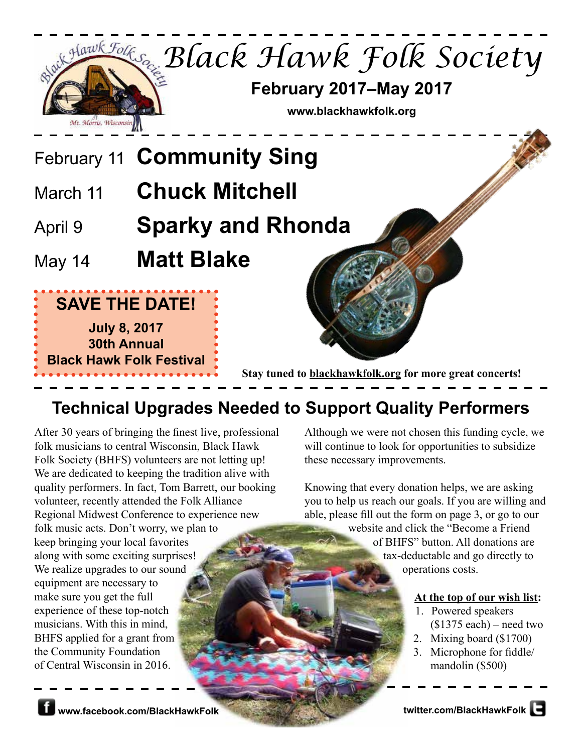

# **Technical Upgrades Needed to Support Quality Performers**

After 30 years of bringing the finest live, professional folk musicians to central Wisconsin, Black Hawk Folk Society (BHFS) volunteers are not letting up! We are dedicated to keeping the tradition alive with quality performers. In fact, Tom Barrett, our booking volunteer, recently attended the Folk Alliance Regional Midwest Conference to experience new folk music acts. Don't worry, we plan to keep bringing your local favorites along with some exciting surprises! We realize upgrades to our sound equipment are necessary to make sure you get the full experience of these top-notch musicians. With this in mind, BHFS applied for a grant from the Community Foundation of Central Wisconsin in 2016.

Although we were not chosen this funding cycle, we will continue to look for opportunities to subsidize these necessary improvements.

Knowing that every donation helps, we are asking you to help us reach our goals. If you are willing and able, please fill out the form on page 3, or go to our

website and click the "Become a Friend of BHFS" button. All donations are tax-deductable and go directly to operations costs.

#### **At the top of our wish list:**

- 1. Powered speakers  $($1375 each)$  – need two
- 2. Mixing board (\$1700)
- 3. Microphone for fiddle/ mandolin (\$500)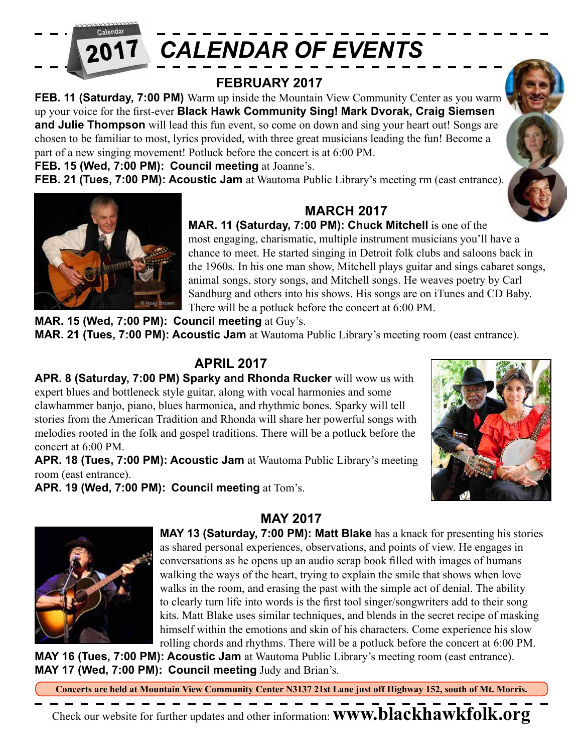

#### **FEBRUARY 2017**

**FEB. 11 (Saturday, 7:00 PM)** Warm up inside the Mountain View Community Center as you warm up your voice for the first-ever **Black Hawk Community Sing! Mark Dvorak, Craig Siemsen and Julie Thompson** will lead this fun event, so come on down and sing your heart out! Songs are chosen to be familiar to most, lyrics provided, with three great musicians leading the fun! Become a part of a new singing movement! Potluck before the concert is at 6:00 PM.

**FEB. 15 (Wed, 7:00 PM): Council meeting** at Joanne's.

**FEB. 21 (Tues, 7:00 PM): Acoustic Jam** at Wautoma Public Library's meeting rm (east entrance).



## **MARCH 2017**

**MAR. 11 (Saturday, 7:00 PM): Chuck Mitchell** is one of the most engaging, charismatic, multiple instrument musicians you'll have a chance to meet. He started singing in Detroit folk clubs and saloons back in the 1960s. In his one man show, Mitchell plays guitar and sings cabaret songs, animal songs, story songs, and Mitchell songs. He weaves poetry by Carl Sandburg and others into his shows. His songs are on iTunes and CD Baby. There will be a potluck before the concert at 6:00 PM.

**MAR. 15 (Wed, 7:00 PM): Council meeting** at Guy's.

**MAR. 21 (Tues, 7:00 PM): Acoustic Jam** at Wautoma Public Library's meeting room (east entrance).

## **APRIL 2017**

**APR. 8 (Saturday, 7:00 PM) Sparky and Rhonda Rucker** will wow us with expert blues and bottleneck style guitar, along with vocal harmonies and some clawhammer banjo, piano, blues harmonica, and rhythmic bones. Sparky will tell stories from the American Tradition and Rhonda will share her powerful songs with melodies rooted in the folk and gospel traditions. There will be a potluck before the concert at 6:00 PM.

**APR. 18 (Tues, 7:00 PM): Acoustic Jam** at Wautoma Public Library's meeting room (east entrance).

**APR. 19 (Wed, 7:00 PM): Council meeting** at Tom's.





# **MAY 2017**

**MAY 13 (Saturday, 7:00 PM): Matt Blake** has a knack for presenting his stories as shared personal experiences, observations, and points of view. He engages in conversations as he opens up an audio scrap book filled with images of humans walking the ways of the heart, trying to explain the smile that shows when love walks in the room, and erasing the past with the simple act of denial. The ability to clearly turn life into words is the first tool singer/songwriters add to their song kits. Matt Blake uses similar techniques, and blends in the secret recipe of masking himself within the emotions and skin of his characters. Come experience his slow rolling chords and rhythms. There will be a potluck before the concert at 6:00 PM.

**MAY 16 (Tues, 7:00 PM): Acoustic Jam** at Wautoma Public Library's meeting room (east entrance). **MAY 17 (Wed, 7:00 PM): Council meeting** Judy and Brian's.

 $\equiv$   $\equiv$ 

**Concerts are held at Mountain View Community Center N3137 21st Lane just off Highway 152, south of Mt. Morris.**

Check our website for further updates and other information: **www.blackhawkfolk.org**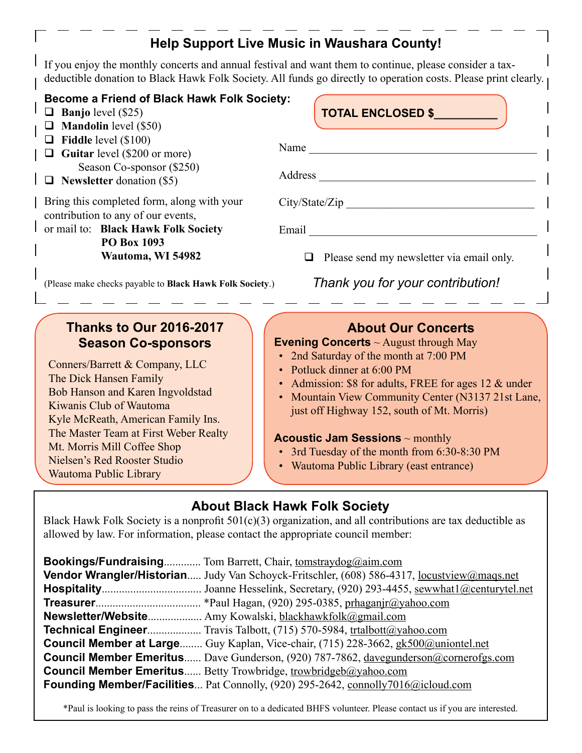## **Help Support Live Music in Waushara County!**

If you enjoy the monthly concerts and annual festival and want them to continue, please consider a taxdeductible donation to Black Hawk Folk Society. All funds go directly to operation costs. Please print clearly.

## **Become a Friend of Black Hawk Folk Society:**

- **Banjo** level (\$25)
- **Mandolin** level (\$50)
- **Fiddle** level (\$100)
- Guitar level (\$200 or more) Season Co-sponsor (\$250)
- **Newsletter** donation (\$5)

Bring this completed form, along with your contribution to any of our events,

or mail to: **Black Hawk Folk Society PO Box 1093 Wautoma, WI 54982**

(Please make checks payable to **Black Hawk Folk Society**.)

## **Thanks to Our 2016-2017 Season Co-sponsors**

Conners/Barrett & Company, LLC The Dick Hansen Family Bob Hanson and Karen Ingvoldstad Kiwanis Club of Wautoma Kyle McReath, American Family Ins. The Master Team at First Weber Realty Mt. Morris Mill Coffee Shop Nielsen's Red Rooster Studio Wautoma Public Library

#### **TOTAL ENCLOSED \$\_\_\_\_\_\_\_\_\_\_**

| Name           |
|----------------|
| Address        |
| City/State/Zip |
| Email          |

 $\Box$  Please send my newsletter via email only.

*Thank you for your contribution!*

#### **About Our Concerts**

**Evening Concerts** ~ August through May

- 2nd Saturday of the month at 7:00 PM
- Potluck dinner at 6:00 PM
- Admission: \$8 for adults, FREE for ages 12 & under
- Mountain View Community Center (N3137 21st Lane, just off Highway 152, south of Mt. Morris)

#### **Acoustic Jam Sessions** ~ monthly

- 3rd Tuesday of the month from 6:30-8:30 PM
- Wautoma Public Library (east entrance)

## **About Black Hawk Folk Society**

Black Hawk Folk Society is a nonprofit  $501(c)(3)$  organization, and all contributions are tax deductible as allowed by law. For information, please contact the appropriate council member:

| <b>Bookings/Fundraising</b> Tom Barrett, Chair, tomstraydog@aim.com                         |
|---------------------------------------------------------------------------------------------|
| Vendor Wrangler/Historian Judy Van Schoyck-Fritschler, (608) 586-4317, locustyiew@mags.net  |
|                                                                                             |
|                                                                                             |
|                                                                                             |
| <b>Technical Engineer</b> Travis Talbott, (715) 570-5984, trtalbott@yahoo.com               |
| <b>Council Member at Large</b> Guy Kaplan, Vice-chair, (715) 228-3662, gk500@uniontel.net   |
| <b>Council Member Emeritus</b> Dave Gunderson, (920) 787-7862, davegunderson@cornerofgs.com |
| <b>Council Member Emeritus</b> Betty Trowbridge, trowbridgeb@yahoo.com                      |
| Founding Member/Facilities Pat Connolly, (920) 295-2642, connolly7016@icloud.com            |

\*Paul is looking to pass the reins of Treasurer on to a dedicated BHFS volunteer. Please contact us if you are interested.